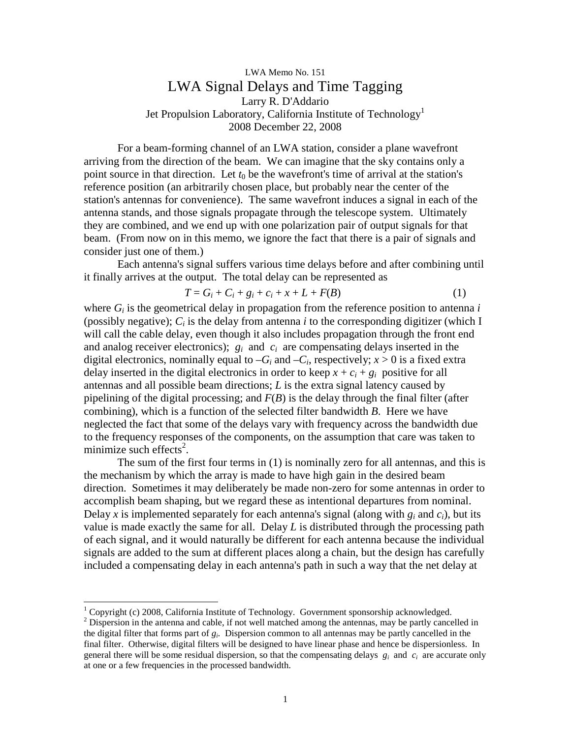## LWA Memo No. 151 LWA Signal Delays and Time Tagging Larry R. D'Addario Jet Propulsion Laboratory, California Institute of Technology<sup>1</sup> 2008 December 22, 2008

For a beam-forming channel of an LWA station, consider a plane wavefront arriving from the direction of the beam. We can imagine that the sky contains only a point source in that direction. Let  $t_0$  be the wavefront's time of arrival at the station's reference position (an arbitrarily chosen place, but probably near the center of the station's antennas for convenience). The same wavefront induces a signal in each of the antenna stands, and those signals propagate through the telescope system. Ultimately they are combined, and we end up with one polarization pair of output signals for that beam. (From now on in this memo, we ignore the fact that there is a pair of signals and consider just one of them.)

Each antenna's signal suffers various time delays before and after combining until it finally arrives at the output. The total delay can be represented as

$$
T = G_i + C_i + g_i + c_i + x + L + F(B)
$$
 (1)

where  $G_i$  is the geometrical delay in propagation from the reference position to antenna  $i$ (possibly negative);  $C_i$  is the delay from antenna *i* to the corresponding digitizer (which I will call the cable delay, even though it also includes propagation through the front end and analog receiver electronics);  $g_i$  and  $c_i$  are compensating delays inserted in the digital electronics, nominally equal to  $-G_i$  and  $-C_i$ , respectively;  $x > 0$  is a fixed extra delay inserted in the digital electronics in order to keep  $x + c_i + g_i$  positive for all antennas and all possible beam directions; *L* is the extra signal latency caused by pipelining of the digital processing; and  $F(B)$  is the delay through the final filter (after combining), which is a function of the selected filter bandwidth *B*. Here we have neglected the fact that some of the delays vary with frequency across the bandwidth due to the frequency responses of the components, on the assumption that care was taken to minimize such effects<sup>2</sup>.

The sum of the first four terms in (1) is nominally zero for all antennas, and this is the mechanism by which the array is made to have high gain in the desired beam direction. Sometimes it may deliberately be made non-zero for some antennas in order to accomplish beam shaping, but we regard these as intentional departures from nominal. Delay *x* is implemented separately for each antenna's signal (along with  $g_i$  and  $c_i$ ), but its value is made exactly the same for all. Delay *L* is distributed through the processing path of each signal, and it would naturally be different for each antenna because the individual signals are added to the sum at different places along a chain, but the design has carefully included a compensating delay in each antenna's path in such a way that the net delay at

-

 $1$  Copyright (c) 2008, California Institute of Technology. Government sponsorship acknowledged.

 $2^2$  Dispersion in the antenna and cable, if not well matched among the antennas, may be partly cancelled in the digital filter that forms part of *g<sup>i</sup>* . Dispersion common to all antennas may be partly cancelled in the final filter. Otherwise, digital filters will be designed to have linear phase and hence be dispersionless. In general there will be some residual dispersion, so that the compensating delays  $g_i$  and  $c_i$  are accurate only at one or a few frequencies in the processed bandwidth.